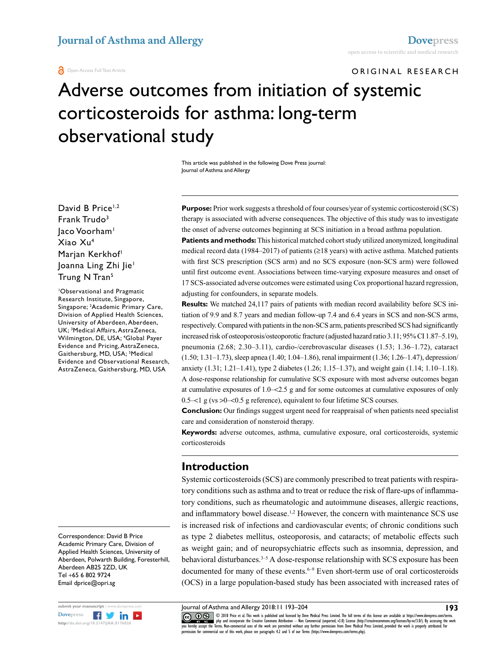#### **a** Open Access Full Text Article

# ORIGINAL RESEARCH

# Adverse outcomes from initiation of systemic corticosteroids for asthma: long-term observational study

This article was published in the following Dove Press journal: Journal of Asthma and Allergy

David B Price<sup>1,2</sup> Frank Trudo3 laco Voorham<sup>1</sup> Xiao Xu4 Marjan Kerkhof<sup>1</sup> Joanna Ling Zhi Jie1 Trung N Tran<sup>5</sup>

1 Observational and Pragmatic Research Institute, Singapore, Singapore; 2 Academic Primary Care, Division of Applied Health Sciences, University of Aberdeen, Aberdeen, UK; 3 Medical Affairs, AstraZeneca, Wilmington, DE, USA; 4 Global Payer Evidence and Pricing, AstraZeneca, Gaithersburg, MD, USA; <sup>5</sup>Medical Evidence and Observational Research, AstraZeneca, Gaithersburg, MD, USA

Correspondence: David B Price Academic Primary Care, Division of Applied Health Sciences, University of Aberdeen, Polwarth Building, Foresterhill, Aberdeen AB25 2ZD, UK Tel +65 6 802 9724 Email dprice@opri.sg



**Purpose:** Prior work suggests a threshold of four courses/year of systemic corticosteroid (SCS) therapy is associated with adverse consequences. The objective of this study was to investigate the onset of adverse outcomes beginning at SCS initiation in a broad asthma population.

**Patients and methods:** This historical matched cohort study utilized anonymized, longitudinal medical record data (1984–2017) of patients (≥18 years) with active asthma. Matched patients with first SCS prescription (SCS arm) and no SCS exposure (non-SCS arm) were followed until first outcome event. Associations between time-varying exposure measures and onset of 17 SCS-associated adverse outcomes were estimated using Cox proportional hazard regression, adjusting for confounders, in separate models.

**Results:** We matched 24,117 pairs of patients with median record availability before SCS initiation of 9.9 and 8.7 years and median follow-up 7.4 and 6.4 years in SCS and non-SCS arms, respectively. Compared with patients in the non-SCS arm, patients prescribed SCS had significantly increased risk of osteoporosis/osteoporotic fracture (adjusted hazard ratio 3.11; 95% CI 1.87–5.19), pneumonia (2.68; 2.30–3.11), cardio-/cerebrovascular diseases (1.53; 1.36–1.72), cataract (1.50; 1.31–1.73), sleep apnea (1.40; 1.04–1.86), renal impairment (1.36; 1.26–1.47), depression/ anxiety (1.31; 1.21–1.41), type 2 diabetes (1.26; 1.15–1.37), and weight gain (1.14; 1.10–1.18). A dose-response relationship for cumulative SCS exposure with most adverse outcomes began at cumulative exposures of 1.0–<2.5 g and for some outcomes at cumulative exposures of only 0.5–<1 g (vs >0–<0.5 g reference), equivalent to four lifetime SCS courses.

**Conclusion:** Our findings suggest urgent need for reappraisal of when patients need specialist care and consideration of nonsteroid therapy.

**Keywords:** adverse outcomes, asthma, cumulative exposure, oral corticosteroids, systemic corticosteroids

#### **Introduction**

Systemic corticosteroids (SCS) are commonly prescribed to treat patients with respiratory conditions such as asthma and to treat or reduce the risk of flare-ups of inflammatory conditions, such as rheumatologic and autoimmune diseases, allergic reactions, and inflammatory bowel disease.<sup>1,2</sup> However, the concern with maintenance SCS use is increased risk of infections and cardiovascular events; of chronic conditions such as type 2 diabetes mellitus, osteoporosis, and cataracts; of metabolic effects such as weight gain; and of neuropsychiatric effects such as insomnia, depression, and behavioral disturbances.<sup>3-5</sup> A dose-response relationship with SCS exposure has been documented for many of these events.<sup> $6-9$ </sup> Even short-term use of oral corticosteroids (OCS) in a large population-based study has been associated with increased rates of

Journal of Asthma and Allergy 2018:11 193–204

CODI8 Price et al. This work is published and licensed by Dove Medical Press Limited. The full terms of this license are available at https://www.dovepress.com/terms.<br>You hereby accept the Terms. Non-commercial uses of the permission for commercial use of this work, please see paragraphs 4.2 and 5 of our Terms (https://www.dovepress.com/terms.php).

**193**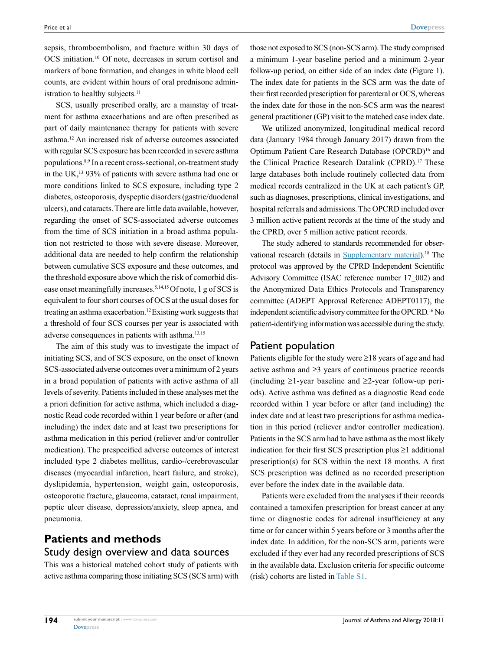sepsis, thromboembolism, and fracture within 30 days of OCS initiation.10 Of note, decreases in serum cortisol and markers of bone formation, and changes in white blood cell counts, are evident within hours of oral prednisone administration to healthy subjects.<sup>11</sup>

SCS, usually prescribed orally, are a mainstay of treatment for asthma exacerbations and are often prescribed as part of daily maintenance therapy for patients with severe asthma.12 An increased risk of adverse outcomes associated with regular SCS exposure has been recorded in severe asthma populations.8,9 In a recent cross-sectional, on-treatment study in the UK,13 93% of patients with severe asthma had one or more conditions linked to SCS exposure, including type 2 diabetes, osteoporosis, dyspeptic disorders (gastric/duodenal ulcers), and cataracts. There are little data available, however, regarding the onset of SCS-associated adverse outcomes from the time of SCS initiation in a broad asthma population not restricted to those with severe disease. Moreover, additional data are needed to help confirm the relationship between cumulative SCS exposure and these outcomes, and the threshold exposure above which the risk of comorbid disease onset meaningfully increases.<sup>5,14,15</sup> Of note, 1 g of SCS is equivalent to four short courses of OCS at the usual doses for treating an asthma exacerbation.12 Existing work suggests that a threshold of four SCS courses per year is associated with adverse consequences in patients with asthma.13,15

The aim of this study was to investigate the impact of initiating SCS, and of SCS exposure, on the onset of known SCS-associated adverse outcomes over a minimum of 2 years in a broad population of patients with active asthma of all levels of severity. Patients included in these analyses met the a priori definition for active asthma, which included a diagnostic Read code recorded within 1 year before or after (and including) the index date and at least two prescriptions for asthma medication in this period (reliever and/or controller medication). The prespecified adverse outcomes of interest included type 2 diabetes mellitus, cardio-/cerebrovascular diseases (myocardial infarction, heart failure, and stroke), dyslipidemia, hypertension, weight gain, osteoporosis, osteoporotic fracture, glaucoma, cataract, renal impairment, peptic ulcer disease, depression/anxiety, sleep apnea, and pneumonia.

# **Patients and methods** Study design overview and data sources

This was a historical matched cohort study of patients with active asthma comparing those initiating SCS (SCS arm) with

those not exposed to SCS (non-SCS arm). The study comprised a minimum 1-year baseline period and a minimum 2-year follow-up period, on either side of an index date (Figure 1). The index date for patients in the SCS arm was the date of their first recorded prescription for parenteral or OCS, whereas the index date for those in the non-SCS arm was the nearest general practitioner (GP) visit to the matched case index date.

We utilized anonymized, longitudinal medical record data (January 1984 through January 2017) drawn from the Optimum Patient Care Research Database (OPCRD)16 and the Clinical Practice Research Datalink (CPRD).<sup>17</sup> These large databases both include routinely collected data from medical records centralized in the UK at each patient's GP, such as diagnoses, prescriptions, clinical investigations, and hospital referrals and admissions. The OPCRD included over 3 million active patient records at the time of the study and the CPRD, over 5 million active patient records.

The study adhered to standards recommended for obser-vational research (details in [Supplementary material\)](http://www.dovepress.com/get_supplementary_file.php%3Ff%3D176026.docx).<sup>18</sup> The protocol was approved by the CPRD Independent Scientific Advisory Committee (ISAC reference number 17\_002) and the Anonymized Data Ethics Protocols and Transparency committee (ADEPT Approval Reference ADEPT0117), the independent scientific advisory committee for the OPCRD.16 No patient-identifying information was accessible during the study.

#### Patient population

Patients eligible for the study were ≥18 years of age and had active asthma and ≥3 years of continuous practice records (including ≥1-year baseline and ≥2-year follow-up periods). Active asthma was defined as a diagnostic Read code recorded within 1 year before or after (and including) the index date and at least two prescriptions for asthma medication in this period (reliever and/or controller medication). Patients in the SCS arm had to have asthma as the most likely indication for their first SCS prescription plus ≥1 additional prescription(s) for SCS within the next 18 months. A first SCS prescription was defined as no recorded prescription ever before the index date in the available data.

Patients were excluded from the analyses if their records contained a tamoxifen prescription for breast cancer at any time or diagnostic codes for adrenal insufficiency at any time or for cancer within 5 years before or 3 months after the index date. In addition, for the non-SCS arm, patients were excluded if they ever had any recorded prescriptions of SCS in the available data. Exclusion criteria for specific outcome (risk) cohorts are listed in [Table S1](http://www.dovepress.com/get_supplementary_file.php%3Ff%3D176026.docx).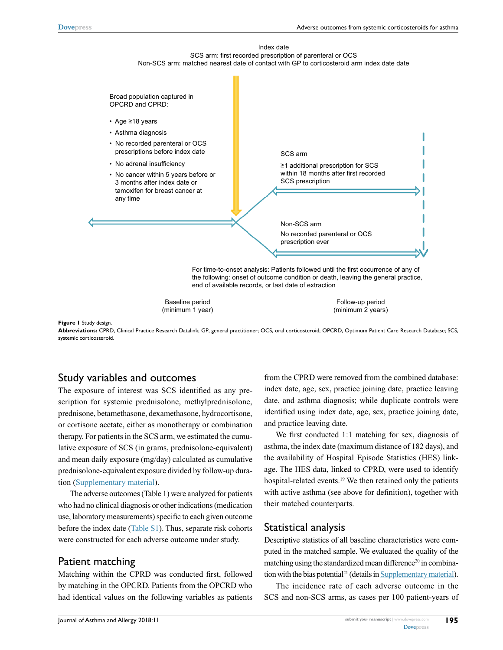



Baseline period (minimum 1 year)

Follow-up period (minimum 2 years)

#### **Figure 1** Study design.

**Abbreviations:** CPRD, Clinical Practice Research Datalink; GP, general practitioner; OCS, oral corticosteroid; OPCRD, Optimum Patient Care Research Database; SCS, systemic corticosteroid.

#### Study variables and outcomes

The exposure of interest was SCS identified as any prescription for systemic prednisolone, methylprednisolone, prednisone, betamethasone, dexamethasone, hydrocortisone, or cortisone acetate, either as monotherapy or combination therapy. For patients in the SCS arm, we estimated the cumulative exposure of SCS (in grams, prednisolone-equivalent) and mean daily exposure (mg/day) calculated as cumulative prednisolone-equivalent exposure divided by follow-up duration [\(Supplementary material](http://www.dovepress.com/get_supplementary_file.php%3Ff%3D176026.docx)).

The adverse outcomes (Table 1) were analyzed for patients who had no clinical diagnosis or other indications (medication use, laboratory measurements) specific to each given outcome before the index date [\(Table S1\)](http://www.dovepress.com/get_supplementary_file.php%3Ff%3D176026.docx). Thus, separate risk cohorts were constructed for each adverse outcome under study.

#### Patient matching

Matching within the CPRD was conducted first, followed by matching in the OPCRD. Patients from the OPCRD who had identical values on the following variables as patients

from the CPRD were removed from the combined database: index date, age, sex, practice joining date, practice leaving date, and asthma diagnosis; while duplicate controls were identified using index date, age, sex, practice joining date, and practice leaving date.

We first conducted 1:1 matching for sex, diagnosis of asthma, the index date (maximum distance of 182 days), and the availability of Hospital Episode Statistics (HES) linkage. The HES data, linked to CPRD, were used to identify hospital-related events.<sup>19</sup> We then retained only the patients with active asthma (see above for definition), together with their matched counterparts.

#### Statistical analysis

Descriptive statistics of all baseline characteristics were computed in the matched sample. We evaluated the quality of the matching using the standardized mean difference<sup>20</sup> in combina-tion with the bias potential<sup>21</sup> (details in [Supplementary material\)](http://www.dovepress.com/get_supplementary_file.php%3Ff%3D176026.docx).

The incidence rate of each adverse outcome in the SCS and non-SCS arms, as cases per 100 patient-years of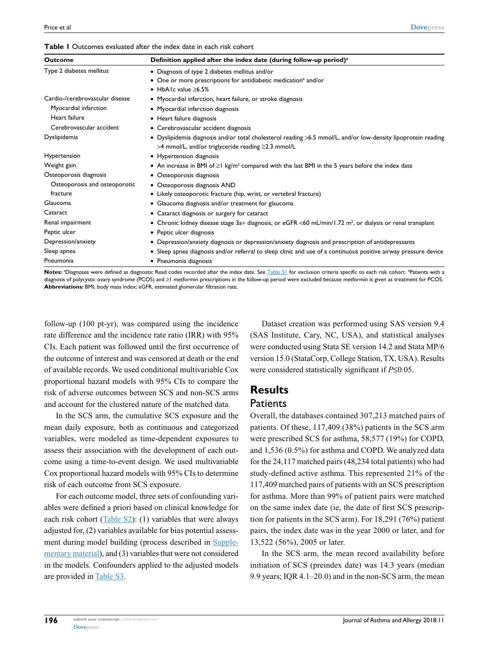#### **Table 1** Outcomes evaluated after the index date in each risk cohort

| Outcome                         | Definition applied after the index date (during follow-up period) <sup>a</sup>                                                                                              |  |  |  |  |  |
|---------------------------------|-----------------------------------------------------------------------------------------------------------------------------------------------------------------------------|--|--|--|--|--|
| Type 2 diabetes mellitus        | • Diagnosis of type 2 diabetes mellitus and/or                                                                                                                              |  |  |  |  |  |
|                                 | • One or more prescriptions for antidiabetic medication <sup>b</sup> and/or                                                                                                 |  |  |  |  |  |
|                                 | • HbA1c value $\geq 6.5\%$                                                                                                                                                  |  |  |  |  |  |
| Cardio-/cerebrovascular disease | • Myocardial infarction, heart failure, or stroke diagnosis                                                                                                                 |  |  |  |  |  |
| Myocardial infarction           | • Myocardial infarction diagnosis                                                                                                                                           |  |  |  |  |  |
| Heart failure                   | • Heart failure diagnosis                                                                                                                                                   |  |  |  |  |  |
| Cerebrovascular accident        | • Cerebrovascular accident diagnosis                                                                                                                                        |  |  |  |  |  |
| Dyslipidemia                    | · Dyslipidemia diagnosis and/or total cholesterol reading >6.5 mmol/L, and/or low-density lipoprotein reading<br>$>4$ mmol/L, and/or triglyceride reading $\geq$ 2.3 mmol/L |  |  |  |  |  |
| Hypertension                    | • Hypertension diagnosis                                                                                                                                                    |  |  |  |  |  |
| Weight gain                     | • An increase in BMI of $\geq 1$ kg/m <sup>2</sup> compared with the last BMI in the 5 years before the index date                                                          |  |  |  |  |  |
| Osteoporosis diagnosis          | • Osteoporosis diagnosis                                                                                                                                                    |  |  |  |  |  |
| Osteoporosis and osteoporotic   | • Osteoporosis diagnosis AND                                                                                                                                                |  |  |  |  |  |
| fracture                        | • Likely osteoporotic fracture (hip, wrist, or vertebral fracture)                                                                                                          |  |  |  |  |  |
| Glaucoma                        | • Glaucoma diagnosis and/or treatment for glaucoma                                                                                                                          |  |  |  |  |  |
| Cataract                        | • Cataract diagnosis or surgery for cataract                                                                                                                                |  |  |  |  |  |
| Renal impairment                | • Chronic kidney disease stage 3a+ diagnosis, or eGFR <60 mL/min/1.72 m <sup>2</sup> , or dialysis or renal transplant                                                      |  |  |  |  |  |
| Peptic ulcer                    | • Peptic ulcer diagnosis                                                                                                                                                    |  |  |  |  |  |
| Depression/anxiety              | • Depression/anxiety diagnosis or depression/anxiety diagnosis and prescription of antidepressants                                                                          |  |  |  |  |  |
| Sleep apnea                     | · Sleep apnea diagnosis and/or referral to sleep clinic and use of a continuous positive airway pressure device                                                             |  |  |  |  |  |
| Pneumonia                       | • Pneumonia diagnosis                                                                                                                                                       |  |  |  |  |  |

**Notes:** <sup>a</sup>Diagnoses were defined as diagnostic Read codes recorded after the index date. See <u>[Table S1](http://www.dovepress.com/get_supplementary_file.php%3Ff%3D176026.docx)</u> for exclusion criteria specific to each risk cohort. <sup>b</sup>Patients with a diagnosis of polycystic ovary syndrome (PCOS) and ≥1 metformin prescriptions in the follow-up period were excluded because metformin is given as treatment for PCOS. **Abbreviations:** BMI, body mass index; eGFR, estimated glomerular filtration rate.

follow-up (100 pt-yr), was compared using the incidence rate difference and the incidence rate ratio (IRR) with 95% CIs. Each patient was followed until the first occurrence of the outcome of interest and was censored at death or the end of available records. We used conditional multivariable Cox proportional hazard models with 95% CIs to compare the risk of adverse outcomes between SCS and non-SCS arms and account for the clustered nature of the matched data.

In the SCS arm, the cumulative SCS exposure and the mean daily exposure, both as continuous and categorized variables, were modeled as time-dependent exposures to assess their association with the development of each outcome using a time-to-event design. We used multivariable Cox proportional hazard models with 95% CIs to determine risk of each outcome from SCS exposure.

For each outcome model, three sets of confounding variables were defined a priori based on clinical knowledge for each risk cohort ( $Table S2$ ): (1) variables that were always adjusted for, (2) variables available for bias potential assessment during model building (process described in [Supple](http://www.dovepress.com/get_supplementary_file.php%3Ff%3D176026.docx)[mentary material\)](http://www.dovepress.com/get_supplementary_file.php%3Ff%3D176026.docx), and (3) variables that were not considered in the models. Confounders applied to the adjusted models are provided in [Table S3.](http://www.dovepress.com/get_supplementary_file.php%3Ff%3D176026.docx)

Dataset creation was performed using SAS version 9.4 (SAS Institute, Cary, NC, USA), and statistical analyses were conducted using Stata SE version 14.2 and Stata MP/6 version 15.0 (StataCorp, College Station, TX, USA). Results were considered statistically significant if *P*≤0.05.

### **Results Patients**

Overall, the databases contained 307,213 matched pairs of patients. Of these, 117,409 (38%) patients in the SCS arm were prescribed SCS for asthma, 58,577 (19%) for COPD, and 1,536 (0.5%) for asthma and COPD. We analyzed data for the 24,117 matched pairs (48,234 total patients) who had study-defined active asthma. This represented 21% of the 117,409 matched pairs of patients with an SCS prescription for asthma. More than 99% of patient pairs were matched on the same index date (ie, the date of first SCS prescription for patients in the SCS arm). For 18,291 (76%) patient pairs, the index date was in the year 2000 or later, and for 13,522 (56%), 2005 or later.

In the SCS arm, the mean record availability before initiation of SCS (preindex date) was 14.3 years (median 9.9 years; IQR 4.1–20.0) and in the non-SCS arm, the mean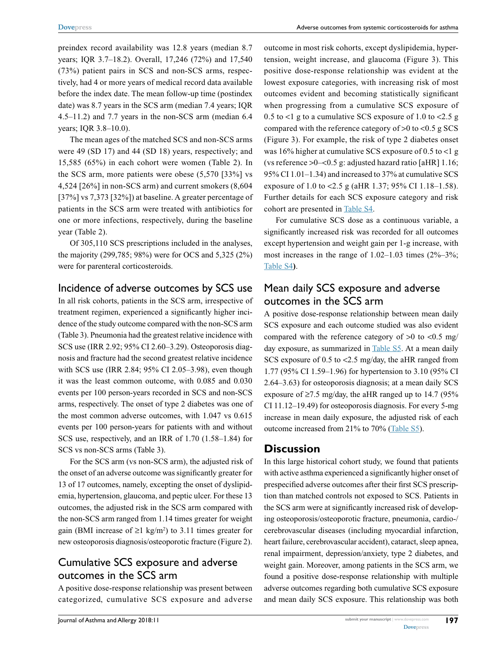preindex record availability was 12.8 years (median 8.7 years; IQR 3.7–18.2). Overall, 17,246 (72%) and 17,540 (73%) patient pairs in SCS and non-SCS arms, respectively, had 4 or more years of medical record data available before the index date. The mean follow-up time (postindex date) was 8.7 years in the SCS arm (median 7.4 years; IQR 4.5–11.2) and 7.7 years in the non-SCS arm (median 6.4 years; IQR 3.8–10.0).

The mean ages of the matched SCS and non-SCS arms were 49 (SD 17) and 44 (SD 18) years, respectively; and 15,585 (65%) in each cohort were women (Table 2). In the SCS arm, more patients were obese (5,570 [33%] vs 4,524 [26%] in non-SCS arm) and current smokers (8,604 [37%] vs 7,373 [32%]) at baseline. A greater percentage of patients in the SCS arm were treated with antibiotics for one or more infections, respectively, during the baseline year (Table 2).

Of 305,110 SCS prescriptions included in the analyses, the majority (299,785; 98%) were for OCS and 5,325 (2%) were for parenteral corticosteroids.

# Incidence of adverse outcomes by SCS use

In all risk cohorts, patients in the SCS arm, irrespective of treatment regimen, experienced a significantly higher incidence of the study outcome compared with the non-SCS arm (Table 3). Pneumonia had the greatest relative incidence with SCS use (IRR 2.92; 95% CI 2.60–3.29). Osteoporosis diagnosis and fracture had the second greatest relative incidence with SCS use (IRR 2.84; 95% CI 2.05–3.98), even though it was the least common outcome, with 0.085 and 0.030 events per 100 person-years recorded in SCS and non-SCS arms, respectively. The onset of type 2 diabetes was one of the most common adverse outcomes, with 1.047 vs 0.615 events per 100 person-years for patients with and without SCS use, respectively, and an IRR of 1.70 (1.58–1.84) for SCS vs non-SCS arms (Table 3).

For the SCS arm (vs non-SCS arm), the adjusted risk of the onset of an adverse outcome was significantly greater for 13 of 17 outcomes, namely, excepting the onset of dyslipidemia, hypertension, glaucoma, and peptic ulcer. For these 13 outcomes, the adjusted risk in the SCS arm compared with the non-SCS arm ranged from 1.14 times greater for weight gain (BMI increase of  $\geq 1$  kg/m<sup>2</sup>) to 3.11 times greater for new osteoporosis diagnosis/osteoporotic fracture (Figure 2).

# Cumulative SCS exposure and adverse outcomes in the SCS arm

A positive dose-response relationship was present between categorized, cumulative SCS exposure and adverse outcome in most risk cohorts, except dyslipidemia, hypertension, weight increase, and glaucoma (Figure 3). This positive dose-response relationship was evident at the lowest exposure categories, with increasing risk of most outcomes evident and becoming statistically significant when progressing from a cumulative SCS exposure of 0.5 to <1 g to a cumulative SCS exposure of 1.0 to <2.5 g compared with the reference category of  $>0$  to  $< 0.5$  g SCS (Figure 3). For example, the risk of type 2 diabetes onset was 16% higher at cumulative SCS exposure of 0.5 to  $\lt 1$  g (vs reference >0–<0.5 g: adjusted hazard ratio [aHR] 1.16; 95% CI 1.01–1.34) and increased to 37% at cumulative SCS exposure of 1.0 to <2.5 g (aHR 1.37; 95% CI 1.18–1.58). Further details for each SCS exposure category and risk cohort are presented in [Table S4.](http://www.dovepress.com/get_supplementary_file.php%3Ff%3D176026.docx)

For cumulative SCS dose as a continuous variable, a significantly increased risk was recorded for all outcomes except hypertension and weight gain per 1-g increase, with most increases in the range of  $1.02-1.03$  times  $(2\% -3\%$ ; [Table S4](http://www.dovepress.com/get_supplementary_file.php%3Ff%3D176026.docx)**)**.

# Mean daily SCS exposure and adverse outcomes in the SCS arm

A positive dose-response relationship between mean daily SCS exposure and each outcome studied was also evident compared with the reference category of  $>0$  to  $< 0.5$  mg/ day exposure, as summarized in [Table S5.](http://www.dovepress.com/get_supplementary_file.php%3Ff%3D176026.docx) At a mean daily SCS exposure of 0.5 to <2.5 mg/day, the aHR ranged from 1.77 (95% CI 1.59–1.96) for hypertension to 3.10 (95% CI 2.64–3.63) for osteoporosis diagnosis; at a mean daily SCS exposure of  $\geq$ 7.5 mg/day, the aHR ranged up to 14.7 (95% CI 11.12–19.49) for osteoporosis diagnosis. For every 5-mg increase in mean daily exposure, the adjusted risk of each outcome increased from 21% to 70% ([Table S5\)](http://www.dovepress.com/get_supplementary_file.php%3Ff%3D176026.docx).

# **Discussion**

In this large historical cohort study, we found that patients with active asthma experienced a significantly higher onset of prespecified adverse outcomes after their first SCS prescription than matched controls not exposed to SCS. Patients in the SCS arm were at significantly increased risk of developing osteoporosis/osteoporotic fracture, pneumonia, cardio-/ cerebrovascular diseases (including myocardial infarction, heart failure, cerebrovascular accident), cataract, sleep apnea, renal impairment, depression/anxiety, type 2 diabetes, and weight gain. Moreover, among patients in the SCS arm, we found a positive dose-response relationship with multiple adverse outcomes regarding both cumulative SCS exposure and mean daily SCS exposure. This relationship was both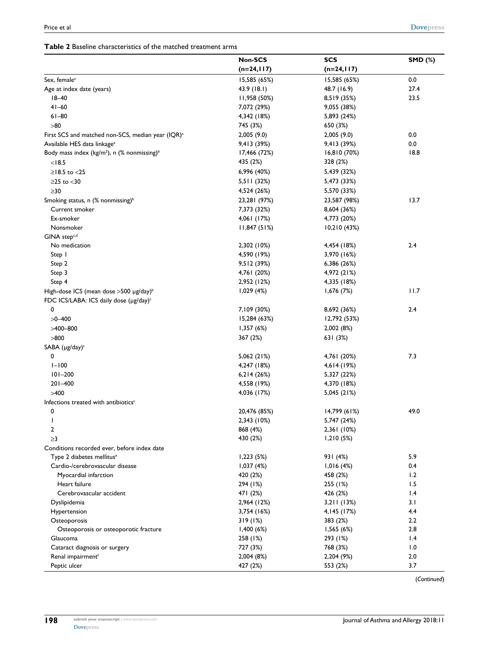| <b>Table 2</b> Baseline characteristics of the matched treatment arms |  |  |
|-----------------------------------------------------------------------|--|--|
|-----------------------------------------------------------------------|--|--|

|                                                                     | Non-SCS       | <b>SCS</b>               | <b>SMD (%)</b> |
|---------------------------------------------------------------------|---------------|--------------------------|----------------|
|                                                                     | $(n=24, 117)$ | $(n=24,117)$             |                |
| Sex, female <sup>a</sup>                                            | 15,585 (65%)  | 15,585 (65%)             | 0.0            |
| Age at index date (years)                                           | 43.9 (18.1)   | 48.7 (16.9)              | 27.4           |
| $18 - 40$                                                           | 11,958 (50%)  | 8,519 (35%)              | 23.5           |
| $41 - 60$                                                           | 7,072 (29%)   | 9,055 (38%)              |                |
| $61 - 80$                                                           | 4,342 (18%)   | 5,893 (24%)              |                |
| $>80$                                                               | 745 (3%)      | 650 (3%)                 |                |
| First SCS and matched non-SCS, median year (IQR) <sup>a</sup>       | 2,005(9.0)    | 2,005(9.0)               | 0.0            |
| Available HES data linkage <sup>a</sup>                             | 9,413 (39%)   | 9,413 (39%)              | 0.0            |
| Body mass index (kg/m <sup>2</sup> ), n (% nonmissing) <sup>b</sup> | 17,466 (72%)  | 16,810 (70%)             | 18.8           |
| < 18.5                                                              | 435 (2%)      | 328 (2%)                 |                |
| $≥18.5$ to <25                                                      | 6,996 (40%)   | 5,439 (32%)              |                |
| $\geq$ 25 to $<$ 30                                                 | 5,511 (32%)   | 5,473 (33%)              |                |
| $\geq$ 30                                                           | 4,524 (26%)   | 5,570 (33%)              |                |
|                                                                     |               |                          | 13.7           |
| Smoking status, n (% nonmissing) <sup>b</sup>                       | 23,281 (97%)  | 23,587 (98%)             |                |
| Current smoker                                                      | 7,373 (32%)   | 8,604 (36%)              |                |
| Ex-smoker                                                           | 4,061 (17%)   | 4,773 (20%)              |                |
| Nonsmoker                                                           | 11,847(51%)   | 10,210(43%)              |                |
| GINA step <sup>c,d</sup>                                            |               |                          |                |
| No medication                                                       | 2,302 (10%)   | 4,454 (18%)              | 2.4            |
| Step I                                                              | 4,590 (19%)   | 3,970 (16%)              |                |
| Step 2                                                              | 9,512 (39%)   | 6,386 (26%)              |                |
| Step 3                                                              | 4,761 (20%)   | 4,972 (21%)              |                |
| Step 4                                                              | 2,952 (12%)   | 4,335 (18%)              |                |
| High-dose ICS (mean dose >500 µg/day) <sup>b</sup>                  | 1,029(4%)     | 1,676 (7%)               | 11.7           |
| FDC ICS/LABA: ICS daily dose (µg/day) <sup>c</sup>                  |               |                          |                |
| 0                                                                   | 7,109 (30%)   | 8,692 (36%)              | 2.4            |
| $>0 - 400$                                                          | 15,284 (63%)  | 12,792 (53%)             |                |
| $>400 - 800$                                                        | 1,357(6%)     | 2,002 (8%)               |                |
| >800                                                                | 367 (2%)      | 631 (3%)                 |                |
| SABA (µg/day) <sup>c</sup>                                          |               |                          |                |
| 0                                                                   | 5,062 (21%)   | 4,761 (20%)              | 7.3            |
| $1 - 100$                                                           | 4,247 (18%)   | 4,614 (19%)              |                |
| $101 - 200$                                                         | 6,214(26%)    | 5,327 (22%)              |                |
| $201 - 400$                                                         | 4,558 (19%)   | 4,370 (18%)              |                |
| >400                                                                | 4,036 (17%)   | 5,045 (21%)              |                |
| Infections treated with antibiotics <sup>c</sup>                    |               |                          |                |
| 0                                                                   | 20,476 (85%)  | 14,799 (61%)             | 49.0           |
| J                                                                   | 2,343 (10%)   | 5,747 (24%)              |                |
| $\boldsymbol{2}$                                                    | 868 (4%)      | 2,361 (10%)              |                |
| $\geq$ 3                                                            | 430 (2%)      | 1,210(5%)                |                |
| Conditions recorded ever, before index date                         |               |                          |                |
| Type 2 diabetes mellitus <sup>e</sup>                               | 1,223(5%)     | 931 (4%)                 | 5.9            |
| Cardio-/cerebrovascular disease                                     | 1,037(4%)     | 1,016(4%)                | 0.4            |
| Myocardial infarction                                               | 420 (2%)      | 458 (2%)                 | 1.2            |
| Heart failure                                                       | 294 (1%)      | 255 (1%)                 | 1.5            |
| Cerebrovascular accident                                            | 471 (2%)      | 426 (2%)                 | 1.4            |
| Dyslipidemia                                                        | 2,964 (12%)   | 3,211(13%)               | 3.1            |
|                                                                     | 3,754 (16%)   |                          | 4.4            |
| Hypertension                                                        | 319(1%)       | 4, 145 (17%)<br>383 (2%) | 2.2            |
| Osteoporosis                                                        |               |                          |                |
| Osteoporosis or osteoporotic fracture                               | 1,400(6%)     | 1,565(6%)                | 2.8            |
| Glaucoma                                                            | 258 (1%)      | 293 (1%)                 | 1.4            |
| Cataract diagnosis or surgery                                       | 727 (3%)      | 768 (3%)                 | 1.0            |
| Renal impairment <sup>f</sup>                                       | 2,004 (8%)    | 2,204 (9%)               | 2.0            |
| Peptic ulcer                                                        | 427 (2%)      | 553 (2%)                 | 3.7            |

(*Continued*)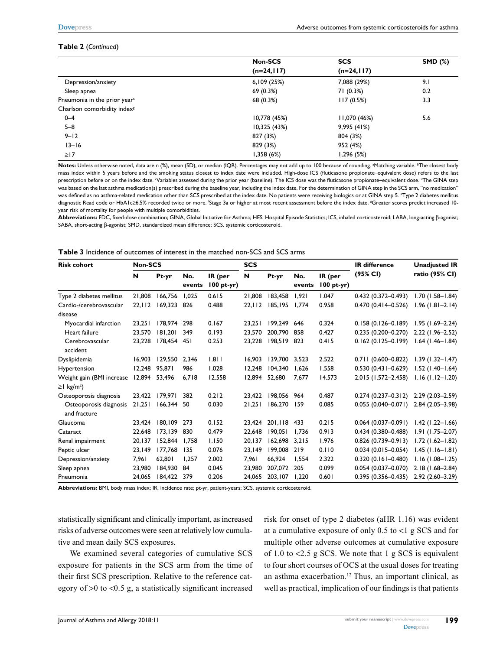#### **Table 2** (*Continued*)

|                                          | <b>Non-SCS</b> | <b>SCS</b>   | <b>SMD (%)</b> |
|------------------------------------------|----------------|--------------|----------------|
|                                          | (n=24,117)     | $(n=24,117)$ |                |
| Depression/anxiety                       | 6,109(25%)     | 7,088 (29%)  | 9.1            |
| Sleep apnea                              | 69(0.3%)       | 71 (0.3%)    | 0.2            |
| Pneumonia in the prior year <sup>c</sup> | 68 (0.3%)      | 117(0.5%)    | 3.3            |
| Charlson comorbidity index <sup>8</sup>  |                |              |                |
| $0 - 4$                                  | 10,778 (45%)   | 11,070 (46%) | 5.6            |
| $5 - 8$                                  | 10,325 (43%)   | 9,995(41%)   |                |
| $9 - 12$                                 | 827 (3%)       | 804 (3%)     |                |
| $13 - 16$                                | 829 (3%)       | 952 (4%)     |                |
| $\geq$ 17                                | 1,358(6%)      | 1,296 (5%)   |                |

Notes: Unless otherwise noted, data are n (%), mean (SD), or median (IQR). Percentages may not add up to 100 because of rounding. <sup>a</sup>Matching variable. <sup>b</sup>The closest body mass index within 5 years before and the smoking status closest to index date were included. High-dose ICS (fluticasone propionate–equivalent dose) refers to the last prescription before or on the index date. Variables assessed during the prior year (baseline). The ICS dose was the fluticasone propionate–equivalent dose. <sup>4</sup>The GINA step was based on the last asthma medication(s) prescribed during the baseline year, including the index date. For the determination of GINA step in the SCS arm, "no medication" was defined as no asthma-related medication other than SCS prescribed at the index date. No patients were receiving biologics or at GINA step 5. <sup>e</sup>Type 2 diabetes mellitus diagnostic Read code or HbA1c≥6.5% recorded twice or more. 'Stage 3a or higher at most recent assessment before the index date. ®Greater scores predict increased 10year risk of mortality for people with multiple comorbidities.

**Abbreviations:** FDC, fixed-dose combination; GINA, Global Initiative for Asthma; HES, Hospital Episode Statistics; ICS, inhaled corticosteroid; LABA, long-acting β-agonist; SABA, short-acting β-agonist; SMD, standardized mean difference; SCS, systemic corticosteroid.

**Table 3** Incidence of outcomes of interest in the matched non-SCS and SCS arms

| <b>Risk cohort</b>                     | <b>Non-SCS</b> |             |               |                         | <b>SCS</b> |         |               |                          | <b>IR difference</b>   | <b>Unadjusted IR</b> |
|----------------------------------------|----------------|-------------|---------------|-------------------------|------------|---------|---------------|--------------------------|------------------------|----------------------|
|                                        | N              | Pt-yr       | No.<br>events | IR (per<br>$100 pt-yr)$ | N          | Pt-yr   | No.<br>events | IR (per<br>$100 pt-yr$ ) | (95% CI)               | ratio (95% CI)       |
| Type 2 diabetes mellitus               | 21,808         | 166,756     | 1,025         | 0.615                   | 21,808     | 183,458 | 1,921         | 1.047                    | $0.432(0.372 - 0.493)$ | $1.70(1.58 - 1.84)$  |
| Cardio-/cerebrovascular                | 22,112         | 169,323     | -826          | 0.488                   | 22,112     | 185,195 | 1,774         | 0.958                    | $0.470(0.414 - 0.526)$ | $1.96(1.81 - 2.14)$  |
| disease                                |                |             |               |                         |            |         |               |                          |                        |                      |
| Myocardial infarction                  | 23.251         | 178,974     | 298           | 0.167                   | 23,251     | 199,249 | 646           | 0.324                    | $0.158(0.126 - 0.189)$ | $1.95(1.69 - 2.24)$  |
| Heart failure                          | 23.570         | 181.201     | 349           | 0.193                   | 23.570     | 200.790 | 858           | 0.427                    | $0.235(0.200 - 0.270)$ | 2.22 (1.96-2.52)     |
| Cerebrovascular                        | 23,228         | 178,454 451 |               | 0.253                   | 23,228     | 198,519 | 823           | 0.415                    | $0.162(0.125-0.199)$   | $1.64$ (1.46-1.84)   |
| accident                               |                |             |               |                         |            |         |               |                          |                        |                      |
| Dyslipidemia                           | 16.903         | 129.550     | 2.346         | 1.811                   | 16.903     | 139.700 | 3.523         | 2.522                    | $0.711(0.600 - 0.822)$ | $1.39(1.32 - 1.47)$  |
| Hypertension                           | 12.248         | 95.871      | 986           | 1.028                   | 12.248     | 104.340 | 1.626         | 1.558                    | $0.530(0.431 - 0.629)$ | $1.52$ (1.40-1.64)   |
| Weight gain (BMI increase              | 12,894         | 53,496      | 6,718         | 12.558                  | 12,894     | 52,680  | 7,677         | 14.573                   | 2.015 (1.572-2.458)    | $1.16$ (1.12–1.20)   |
| $\geq$ I kg/m <sup>2</sup> )           |                |             |               |                         |            |         |               |                          |                        |                      |
| Osteoporosis diagnosis                 | 23,422         | 179.971     | 382           | 0.212                   | 23.422     | 198,056 | 964           | 0.487                    | $0.274(0.237-0.312)$   | 2.29 (2.03-2.59)     |
| Osteoporosis diagnosis<br>and fracture | 21.251         | 166,344 50  |               | 0.030                   | 21,251     | 186,270 | 159           | 0.085                    | $0.055(0.040 - 0.071)$ | $2.84(2.05 - 3.98)$  |
| Glaucoma                               | 23.424         | 180,109     | 273           | 0.152                   | 23.424     | 201.118 | 433           | 0.215                    | $0.064$ (0.037-0.091)  | $1.42$ (1.22–1.66)   |
| Cataract                               | 22,648         | 173,139     | 830           | 0.479                   | 22,648     | 190,051 | 1,736         | 0.913                    | $0.434(0.380 - 0.488)$ | $1.91(1.75 - 2.07)$  |
| Renal impairment                       | 20,137         | 152.844     | 1.758         | 1.150                   | 20,137     | 162,698 | 3.215         | 1.976                    | $0.826(0.739 - 0.913)$ | $1.72(1.62 - 1.82)$  |
| Peptic ulcer                           | 23,149         | 177.768     | 135           | 0.076                   | 23.149     | 199.008 | 219           | 0.110                    | $0.034(0.015 - 0.054)$ | $1.45$ (1.16-1.81)   |
| Depression/anxiety                     | 7,961          | 62,801      | 1,257         | 2.002                   | 7,961      | 66,924  | 1,554         | 2.322                    | $0.320(0.161 - 0.480)$ | $1.16(1.08 - 1.25)$  |
| Sleep apnea                            | 23,980         | 184,930     | -84           | 0.045                   | 23,980     | 207,072 | 205           | 0.099                    | $0.054(0.037 - 0.070)$ | $2.18(1.68 - 2.84)$  |
| Pneumonia                              | 24,065         | 184,422     | 379           | 0.206                   | 24.065     | 203,107 | 1,220         | 0.601                    | $0.395(0.356 - 0.435)$ | $2.92(2.60 - 3.29)$  |

**Abbreviations:** BMI, body mass index; IR, incidence rate; pt-yr, patient-years; SCS, systemic corticosteroid.

statistically significant and clinically important, as increased risks of adverse outcomes were seen at relatively low cumulative and mean daily SCS exposures.

We examined several categories of cumulative SCS exposure for patients in the SCS arm from the time of their first SCS prescription. Relative to the reference category of >0 to <0.5 g, a statistically significant increased

risk for onset of type 2 diabetes (aHR 1.16) was evident at a cumulative exposure of only 0.5 to <1 g SCS and for multiple other adverse outcomes at cumulative exposure of 1.0 to <2.5 g SCS. We note that 1 g SCS is equivalent to four short courses of OCS at the usual doses for treating an asthma exacerbation.12 Thus, an important clinical, as well as practical, implication of our findings is that patients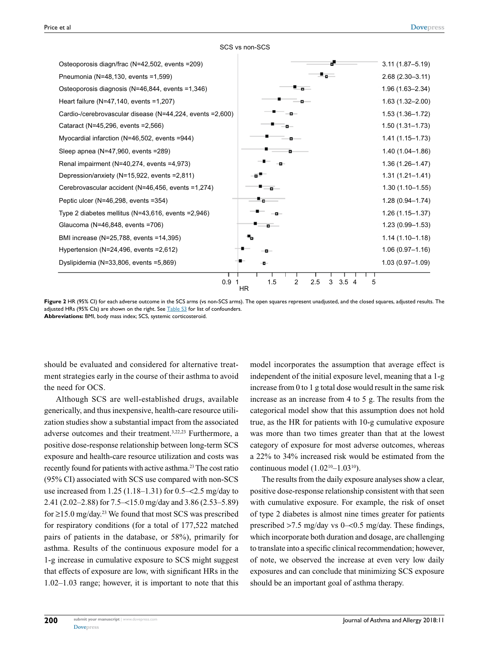| Osteoporosis diagn/frac (N=42,502, events =209)            |                                          | $3.11(1.87 - 5.19)$ |
|------------------------------------------------------------|------------------------------------------|---------------------|
| Pneumonia (N=48,130, events =1,599)                        | ۰.                                       | $2.68(2.30 - 3.11)$ |
| Osteoporosis diagnosis (N=46,844, events =1,346)           | - ه                                      | 1.96 (1.63-2.34)    |
| Heart failure (N=47,140, events =1,207)                    |                                          | $1.63(1.32 - 2.00)$ |
| Cardio-/cerebrovascular disease (N=44,224, events = 2,600) |                                          | $1.53(1.36 - 1.72)$ |
| Cataract (N=45,296, events = 2,566)                        |                                          | $1.50(1.31 - 1.73)$ |
| Myocardial infarction (N=46,502, events =944)              |                                          | $1.41(1.15 - 1.73)$ |
| Sleep apnea (N=47,960, events = 289)                       |                                          | 1.40 (1.04-1.86)    |
| Renal impairment (N=40,274, events =4,973)                 |                                          | $1.36(1.26 - 1.47)$ |
| Depression/anxiety (N=15,922, events =2,811)               |                                          | $1.31(1.21 - 1.41)$ |
| Cerebrovascular accident (N=46,456, events =1,274)         |                                          | $1.30(1.10 - 1.55)$ |
| Peptic ulcer (N=46,298, events =354)                       | ٠.                                       | 1.28 (0.94-1.74)    |
| Type 2 diabetes mellitus (N=43,616, events = $2,946$ )     |                                          | $1.26(1.15 - 1.37)$ |
| Glaucoma (N=46,848, events =706)                           | $\sim$                                   | $1.23(0.99 - 1.53)$ |
| BMI increase (N=25,788, events =14,395)                    |                                          | $1.14(1.10 - 1.18)$ |
| Hypertension (N=24,496, events = $2,612$ )                 |                                          | $1.06(0.97 - 1.16)$ |
| Dyslipidemia (N=33,806, events =5,869)                     |                                          | $1.03(0.97 - 1.09)$ |
| 0.9                                                        | 1.5<br>2<br>2.5<br>3<br>3.54<br>5<br>HR. |                     |

SCS vs non-SCS

**Figure 2** HR (95% CI) for each adverse outcome in the SCS arms (vs non-SCS arms). The open squares represent unadjusted, and the closed squares, adjusted results. The adjusted HRs (95% Cls) are shown on the right. See  $TableS3$  for list of confounders. **Abbreviations:** BMI, body mass index; SCS, systemic corticosteroid.

should be evaluated and considered for alternative treatment strategies early in the course of their asthma to avoid the need for OCS.

Although SCS are well-established drugs, available generically, and thus inexpensive, health-care resource utilization studies show a substantial impact from the associated adverse outcomes and their treatment.3,22,23 Furthermore, a positive dose-response relationship between long-term SCS exposure and health-care resource utilization and costs was recently found for patients with active asthma.23 The cost ratio (95% CI) associated with SCS use compared with non-SCS use increased from 1.25 (1.18–1.31) for 0.5–<2.5 mg/day to 2.41 (2.02–2.88) for 7.5–<15.0 mg/day and 3.86 (2.53–5.89) for  $\geq$ 15.0 mg/day.<sup>23</sup> We found that most SCS was prescribed for respiratory conditions (for a total of 177,522 matched pairs of patients in the database, or 58%), primarily for asthma. Results of the continuous exposure model for a 1-g increase in cumulative exposure to SCS might suggest that effects of exposure are low, with significant HRs in the 1.02–1.03 range; however, it is important to note that this model incorporates the assumption that average effect is independent of the initial exposure level, meaning that a 1-g increase from 0 to 1 g total dose would result in the same risk increase as an increase from 4 to 5 g. The results from the categorical model show that this assumption does not hold true, as the HR for patients with 10-g cumulative exposure was more than two times greater than that at the lowest category of exposure for most adverse outcomes, whereas a 22% to 34% increased risk would be estimated from the continuous model  $(1.02^{10} - 1.03^{10})$ .

The results from the daily exposure analyses show a clear, positive dose-response relationship consistent with that seen with cumulative exposure. For example, the risk of onset of type 2 diabetes is almost nine times greater for patients prescribed >7.5 mg/day vs 0–<0.5 mg/day. These findings, which incorporate both duration and dosage, are challenging to translate into a specific clinical recommendation; however, of note, we observed the increase at even very low daily exposures and can conclude that minimizing SCS exposure should be an important goal of asthma therapy.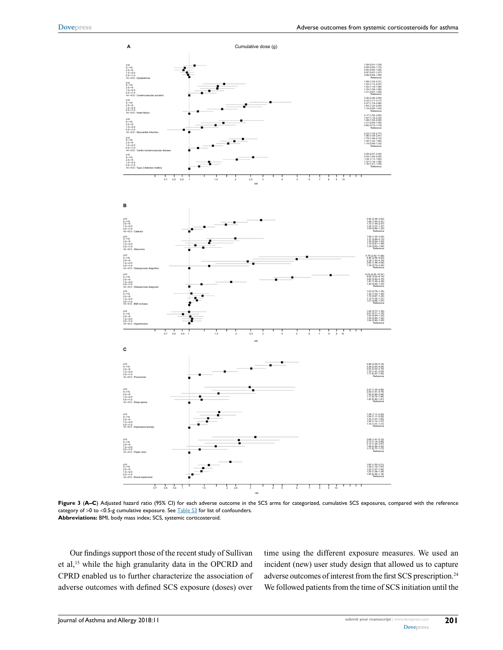

Figure 3 (A–C) Adjusted hazard ratio (95% CI) for each adverse outcome in the SCS arms for categorized, cumulative SCS exposures, compared with the reference category of >0 to <0.5-g cumulative exposure. See [Table S3](http://www.dovepress.com/get_supplementary_file.php%3Ff%3D176026.docx) for list of confounders. **Abbreviations:** BMI, body mass index; SCS, systemic corticosteroid.

Our findings support those of the recent study of Sullivan et al,15 while the high granularity data in the OPCRD and CPRD enabled us to further characterize the association of adverse outcomes with defined SCS exposure (doses) over time using the different exposure measures. We used an incident (new) user study design that allowed us to capture adverse outcomes of interest from the first SCS prescription.<sup>24</sup> We followed patients from the time of SCS initiation until the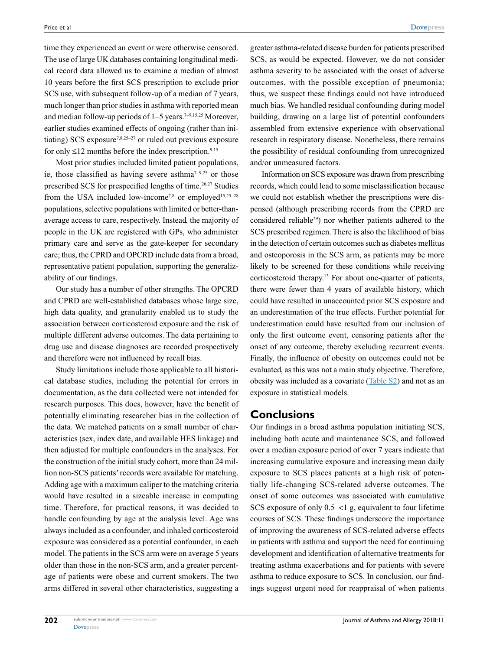time they experienced an event or were otherwise censored. The use of large UK databases containing longitudinal medical record data allowed us to examine a median of almost 10 years before the first SCS prescription to exclude prior SCS use, with subsequent follow-up of a median of 7 years, much longer than prior studies in asthma with reported mean and median follow-up periods of  $1-5$  years.<sup>7-9,15,25</sup> Moreover, earlier studies examined effects of ongoing (rather than initiating) SCS exposure<sup>7,8,25-27</sup> or ruled out previous exposure for only  $\leq$ 12 months before the index prescription.<sup>9,15</sup>

Most prior studies included limited patient populations, ie, those classified as having severe asthma<sup> $7-9,25$ </sup> or those prescribed SCS for prespecified lengths of time.26,27 Studies from the USA included low-income<sup>7,8</sup> or employed<sup>15,25-28</sup> populations, selective populations with limited or better-thanaverage access to care, respectively. Instead, the majority of people in the UK are registered with GPs, who administer primary care and serve as the gate-keeper for secondary care; thus, the CPRD and OPCRD include data from a broad, representative patient population, supporting the generalizability of our findings.

Our study has a number of other strengths. The OPCRD and CPRD are well-established databases whose large size, high data quality, and granularity enabled us to study the association between corticosteroid exposure and the risk of multiple different adverse outcomes. The data pertaining to drug use and disease diagnoses are recorded prospectively and therefore were not influenced by recall bias.

Study limitations include those applicable to all historical database studies, including the potential for errors in documentation, as the data collected were not intended for research purposes. This does, however, have the benefit of potentially eliminating researcher bias in the collection of the data. We matched patients on a small number of characteristics (sex, index date, and available HES linkage) and then adjusted for multiple confounders in the analyses. For the construction of the initial study cohort, more than 24 million non-SCS patients' records were available for matching. Adding age with a maximum caliper to the matching criteria would have resulted in a sizeable increase in computing time. Therefore, for practical reasons, it was decided to handle confounding by age at the analysis level. Age was always included as a confounder, and inhaled corticosteroid exposure was considered as a potential confounder, in each model. The patients in the SCS arm were on average 5 years older than those in the non-SCS arm, and a greater percentage of patients were obese and current smokers. The two arms differed in several other characteristics, suggesting a

greater asthma-related disease burden for patients prescribed SCS, as would be expected. However, we do not consider asthma severity to be associated with the onset of adverse outcomes, with the possible exception of pneumonia; thus, we suspect these findings could not have introduced much bias. We handled residual confounding during model building, drawing on a large list of potential confounders assembled from extensive experience with observational research in respiratory disease. Nonetheless, there remains the possibility of residual confounding from unrecognized and/or unmeasured factors.

Information on SCS exposure was drawn from prescribing records, which could lead to some misclassification because we could not establish whether the prescriptions were dispensed (although prescribing records from the CPRD are considered reliable29) nor whether patients adhered to the SCS prescribed regimen. There is also the likelihood of bias in the detection of certain outcomes such as diabetes mellitus and osteoporosis in the SCS arm, as patients may be more likely to be screened for these conditions while receiving corticosteroid therapy.13 For about one-quarter of patients, there were fewer than 4 years of available history, which could have resulted in unaccounted prior SCS exposure and an underestimation of the true effects. Further potential for underestimation could have resulted from our inclusion of only the first outcome event, censoring patients after the onset of any outcome, thereby excluding recurrent events. Finally, the influence of obesity on outcomes could not be evaluated, as this was not a main study objective. Therefore, obesity was included as a covariate [\(Table S2\)](http://www.dovepress.com/get_supplementary_file.php%3Ff%3D176026.docx) and not as an exposure in statistical models.

### **Conclusions**

Our findings in a broad asthma population initiating SCS, including both acute and maintenance SCS, and followed over a median exposure period of over 7 years indicate that increasing cumulative exposure and increasing mean daily exposure to SCS places patients at a high risk of potentially life-changing SCS-related adverse outcomes. The onset of some outcomes was associated with cumulative SCS exposure of only 0.5–<1 g, equivalent to four lifetime courses of SCS. These findings underscore the importance of improving the awareness of SCS-related adverse effects in patients with asthma and support the need for continuing development and identification of alternative treatments for treating asthma exacerbations and for patients with severe asthma to reduce exposure to SCS. In conclusion, our findings suggest urgent need for reappraisal of when patients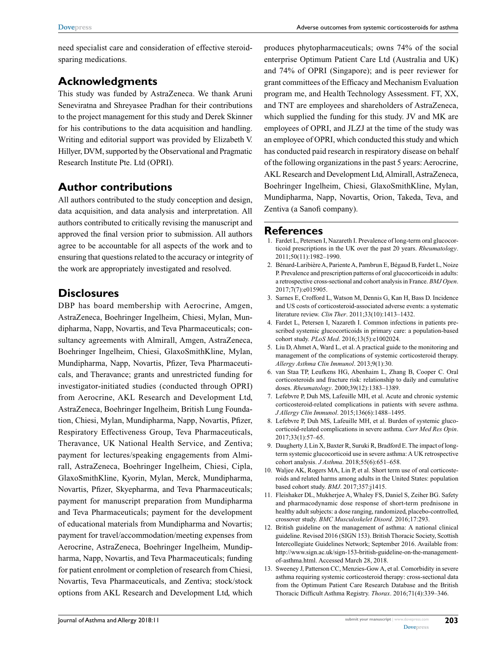need specialist care and consideration of effective steroidsparing medications.

# **Acknowledgments**

This study was funded by AstraZeneca. We thank Aruni Seneviratna and Shreyasee Pradhan for their contributions to the project management for this study and Derek Skinner for his contributions to the data acquisition and handling. Writing and editorial support was provided by Elizabeth V. Hillyer, DVM, supported by the Observational and Pragmatic Research Institute Pte. Ltd (OPRI).

# **Author contributions**

All authors contributed to the study conception and design, data acquisition, and data analysis and interpretation. All authors contributed to critically revising the manuscript and approved the final version prior to submission. All authors agree to be accountable for all aspects of the work and to ensuring that questions related to the accuracy or integrity of the work are appropriately investigated and resolved.

# **Disclosures**

DBP has board membership with Aerocrine, Amgen, AstraZeneca, Boehringer Ingelheim, Chiesi, Mylan, Mundipharma, Napp, Novartis, and Teva Pharmaceuticals; consultancy agreements with Almirall, Amgen, AstraZeneca, Boehringer Ingelheim, Chiesi, GlaxoSmithKline, Mylan, Mundipharma, Napp, Novartis, Pfizer, Teva Pharmaceuticals, and Theravance; grants and unrestricted funding for investigator-initiated studies (conducted through OPRI) from Aerocrine, AKL Research and Development Ltd, AstraZeneca, Boehringer Ingelheim, British Lung Foundation, Chiesi, Mylan, Mundipharma, Napp, Novartis, Pfizer, Respiratory Effectiveness Group, Teva Pharmaceuticals, Theravance, UK National Health Service, and Zentiva; payment for lectures/speaking engagements from Almirall, AstraZeneca, Boehringer Ingelheim, Chiesi, Cipla, GlaxoSmithKline, Kyorin, Mylan, Merck, Mundipharma, Novartis, Pfizer, Skyepharma, and Teva Pharmaceuticals; payment for manuscript preparation from Mundipharma and Teva Pharmaceuticals; payment for the development of educational materials from Mundipharma and Novartis; payment for travel/accommodation/meeting expenses from Aerocrine, AstraZeneca, Boehringer Ingelheim, Mundipharma, Napp, Novartis, and Teva Pharmaceuticals; funding for patient enrolment or completion of research from Chiesi, Novartis, Teva Pharmaceuticals, and Zentiva; stock/stock options from AKL Research and Development Ltd, which produces phytopharmaceuticals; owns 74% of the social enterprise Optimum Patient Care Ltd (Australia and UK) and 74% of OPRI (Singapore); and is peer reviewer for grant committees of the Efficacy and Mechanism Evaluation program me, and Health Technology Assessment. FT, XX, and TNT are employees and shareholders of AstraZeneca, which supplied the funding for this study. JV and MK are employees of OPRI, and JLZJ at the time of the study was an employee of OPRI, which conducted this study and which has conducted paid research in respiratory disease on behalf of the following organizations in the past 5 years: Aerocrine, AKL Research and Development Ltd, Almirall, AstraZeneca, Boehringer Ingelheim, Chiesi, GlaxoSmithKline, Mylan, Mundipharma, Napp, Novartis, Orion, Takeda, Teva, and Zentiva (a Sanofi company).

#### **References**

- 1. Fardet L, Petersen I, Nazareth I. Prevalence of long-term oral glucocorticoid prescriptions in the UK over the past 20 years. *Rheumatology*. 2011;50(11):1982–1990.
- 2. Bénard-Laribière A, Pariente A, Pambrun E, Bégaud B, Fardet L, Noize P. Prevalence and prescription patterns of oral glucocorticoids in adults: a retrospective cross-sectional and cohort analysis in France. *BMJ Open*. 2017;7(7):e015905.
- 3. Sarnes E, Crofford L, Watson M, Dennis G, Kan H, Bass D. Incidence and US costs of corticosteroid-associated adverse events: a systematic literature review. *Clin Ther*. 2011;33(10):1413–1432.
- 4. Fardet L, Petersen I, Nazareth I. Common infections in patients prescribed systemic glucocorticoids in primary care: a population-based cohort study. *PLoS Med*. 2016;13(5):e1002024.
- 5. Liu D, Ahmet A, Ward L, et al. A practical guide to the monitoring and management of the complications of systemic corticosteroid therapy. *Allergy Asthma Clin Immunol*. 2013;9(1):30.
- 6. van Staa TP, Leufkens HG, Abenhaim L, Zhang B, Cooper C. Oral corticosteroids and fracture risk: relationship to daily and cumulative doses. *Rheumatology*. 2000;39(12):1383–1389.
- 7. Lefebvre P, Duh MS, Lafeuille MH, et al. Acute and chronic systemic corticosteroid-related complications in patients with severe asthma. *J Allergy Clin Immunol*. 2015;136(6):1488–1495.
- 8. Lefebvre P, Duh MS, Lafeuille MH, et al. Burden of systemic glucocorticoid-related complications in severe asthma. *Curr Med Res Opin*. 2017;33(1):57–65.
- 9. Daugherty J, Lin X, Baxter R, Suruki R, Bradford E. The impact of longterm systemic glucocorticoid use in severe asthma: A UK retrospective cohort analysis. *J Asthma*. 2018;55(6):651–658.
- 10. Waljee AK, Rogers MA, Lin P, et al. Short term use of oral corticosteroids and related harms among adults in the United States: population based cohort study. *BMJ*. 2017;357:j1415.
- 11. Fleishaker DL, Mukherjee A, Whaley FS, Daniel S, Zeiher BG. Safety and pharmacodynamic dose response of short-term prednisone in healthy adult subjects: a dose ranging, randomized, placebo-controlled, crossover study. *BMC Musculoskelet Disord*. 2016;17:293.
- 12. British guideline on the management of asthma: A national clinical guideline. Revised 2016 (SIGN 153). British Thoracic Society, Scottish Intercollegiate Guidelines Network; September 2016. Available from: [http://www.sign.ac.uk/sign-153-british-guideline-on-the-management](http://www.sign.ac.uk/sign-153-british-guideline-on-the-management-of-asthma.html)[of-asthma.html](http://www.sign.ac.uk/sign-153-british-guideline-on-the-management-of-asthma.html). Accessed March 28, 2018.
- 13. Sweeney J, Patterson CC, Menzies-Gow A, et al. Comorbidity in severe asthma requiring systemic corticosteroid therapy: cross-sectional data from the Optimum Patient Care Research Database and the British Thoracic Difficult Asthma Registry. *Thorax*. 2016;71(4):339–346.